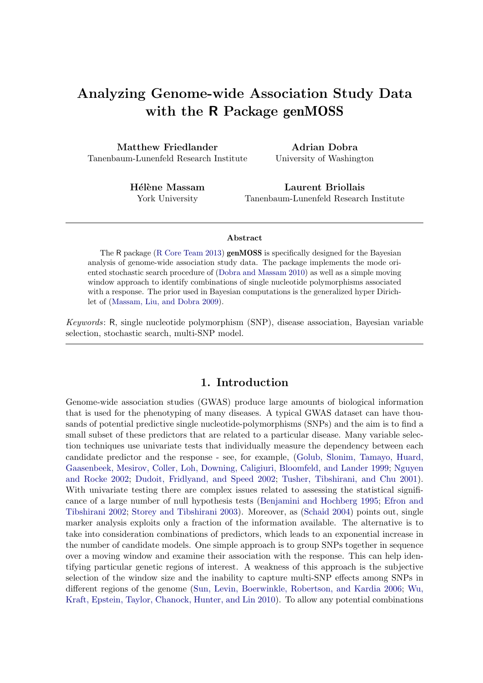# Analyzing Genome-wide Association Study Data with the R Package genMOSS

Matthew Friedlander Tanenbaum-Lunenfeld Research Institute

Adrian Dobra University of Washington

Hélène Massam York University

Laurent Briollais Tanenbaum-Lunenfeld Research Institute

#### Abstract

The R package [\(R Core Team](#page-8-0) [2013\)](#page-8-0) genMOSS is specifically designed for the Bayesian analysis of genome-wide association study data. The package implements the mode oriented stochastic search procedure of [\(Dobra and Massam](#page-8-1) [2010\)](#page-8-1) as well as a simple moving window approach to identify combinations of single nucleotide polymorphisms associated with a response. The prior used in Bayesian computations is the generalized hyper Dirichlet of [\(Massam, Liu, and Dobra](#page-8-2) [2009\)](#page-8-2).

Keywords: R, single nucleotide polymorphism (SNP), disease association, Bayesian variable selection, stochastic search, multi-SNP model.

## 1. Introduction

Genome-wide association studies (GWAS) produce large amounts of biological information that is used for the phenotyping of many diseases. A typical GWAS dataset can have thousands of potential predictive single nucleotide-polymorphisms (SNPs) and the aim is to find a small subset of these predictors that are related to a particular disease. Many variable selection techniques use univariate tests that individually measure the dependency between each candidate predictor and the response - see, for example, [\(Golub, Slonim, Tamayo, Huard,](#page-8-3) [Gaasenbeek, Mesirov, Coller, Loh, Downing, Caligiuri, Bloomfeld, and Lander](#page-8-3) [1999;](#page-8-3) [Nguyen](#page-8-4) [and Rocke](#page-8-4) [2002;](#page-8-4) [Dudoit, Fridlyand, and Speed](#page-8-5) [2002;](#page-8-5) [Tusher, Tibshirani, and Chu](#page-8-6) [2001\)](#page-8-6). With univariate testing there are complex issues related to assessing the statistical significance of a large number of null hypothesis tests [\(Benjamini and Hochberg](#page-7-0) [1995;](#page-7-0) [Efron and](#page-8-7) [Tibshirani](#page-8-7) [2002;](#page-8-7) [Storey and Tibshirani](#page-8-8) [2003\)](#page-8-8). Moreover, as [\(Schaid](#page-8-9) [2004\)](#page-8-9) points out, single marker analysis exploits only a fraction of the information available. The alternative is to take into consideration combinations of predictors, which leads to an exponential increase in the number of candidate models. One simple approach is to group SNPs together in sequence over a moving window and examine their association with the response. This can help identifying particular genetic regions of interest. A weakness of this approach is the subjective selection of the window size and the inability to capture multi-SNP effects among SNPs in different regions of the genome [\(Sun, Levin, Boerwinkle, Robertson, and Kardia](#page-8-10) [2006;](#page-8-10) [Wu,](#page-8-11) [Kraft, Epstein, Taylor, Chanock, Hunter, and Lin](#page-8-11) [2010\)](#page-8-11). To allow any potential combinations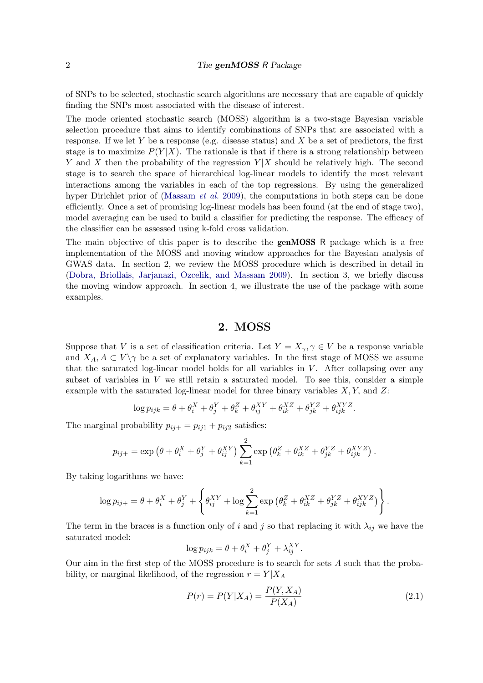of SNPs to be selected, stochastic search algorithms are necessary that are capable of quickly finding the SNPs most associated with the disease of interest.

The mode oriented stochastic search (MOSS) algorithm is a two-stage Bayesian variable selection procedure that aims to identify combinations of SNPs that are associated with a response. If we let Y be a response (e.g. disease status) and X be a set of predictors, the first stage is to maximize  $P(Y|X)$ . The rationale is that if there is a strong relationship between Y and X then the probability of the regression  $Y|X$  should be relatively high. The second stage is to search the space of hierarchical log-linear models to identify the most relevant interactions among the variables in each of the top regressions. By using the generalized hyper Dirichlet prior of [\(Massam](#page-8-2) *et al.* [2009\)](#page-8-2), the computations in both steps can be done efficiently. Once a set of promising log-linear models has been found (at the end of stage two), model averaging can be used to build a classifier for predicting the response. The efficacy of the classifier can be assessed using k-fold cross validation.

The main objective of this paper is to describe the **genMOSS** R package which is a free implementation of the MOSS and moving window approaches for the Bayesian analysis of GWAS data. In section 2, we review the MOSS procedure which is described in detail in [\(Dobra, Briollais, Jarjanazi, Ozcelik, and Massam](#page-7-1) [2009\)](#page-7-1). In section 3, we briefly discuss the moving window approach. In section 4, we illustrate the use of the package with some examples.

## 2. MOSS

Suppose that V is a set of classification criteria. Let  $Y = X_{\gamma}, \gamma \in V$  be a response variable and  $X_A, A \subset V \setminus \gamma$  be a set of explanatory variables. In the first stage of MOSS we assume that the saturated log-linear model holds for all variables in  $V$ . After collapsing over any subset of variables in  $V$  we still retain a saturated model. To see this, consider a simple example with the saturated log-linear model for three binary variables  $X, Y$ , and  $Z$ :

$$
\log p_{ijk} = \theta + \theta_i^X + \theta_j^Y + \theta_k^Z + \theta_{ij}^{XY} + \theta_{ik}^{XZ} + \theta_{jk}^{YZ} + \theta_{ijk}^{XYZ}.
$$

The marginal probability  $p_{ij+} = p_{ij1} + p_{ij2}$  satisfies:

$$
p_{ij+} = \exp \left(\theta + \theta_i^X + \theta_j^Y + \theta_{ij}^{XY}\right) \sum_{k=1}^2 \exp \left(\theta_k^Z + \theta_{ik}^{XZ} + \theta_{jk}^{YZ} + \theta_{ijk}^{XYZ}\right).
$$

By taking logarithms we have:

$$
\log p_{ij+} = \theta + \theta_i^X + \theta_j^Y + \left\{ \theta_{ij}^{XY} + \log \sum_{k=1}^2 \exp \left( \theta_k^Z + \theta_{ik}^{XZ} + \theta_{jk}^{YZ} + \theta_{ijk}^{XYZ} \right) \right\}.
$$

The term in the braces is a function only of i and j so that replacing it with  $\lambda_{ij}$  we have the saturated model:

$$
\log p_{ijk} = \theta + \theta_i^X + \theta_j^Y + \lambda_{ij}^{XY}.
$$

Our aim in the first step of the MOSS procedure is to search for sets A such that the probability, or marginal likelihood, of the regression  $r = Y|X_A$ 

<span id="page-1-0"></span>
$$
P(r) = P(Y|X_A) = \frac{P(Y, X_A)}{P(X_A)}
$$
\n(2.1)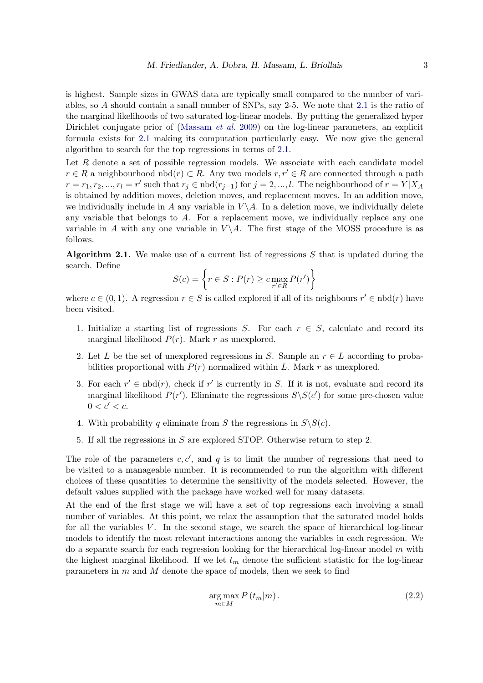is highest. Sample sizes in GWAS data are typically small compared to the number of variables, so A should contain a small number of SNPs, say 2-5. We note that [2.1](#page-1-0) is the ratio of the marginal likelihoods of two saturated log-linear models. By putting the generalized hyper Dirichlet conjugate prior of [\(Massam](#page-8-2) *et al.* [2009\)](#page-8-2) on the log-linear parameters, an explicit formula exists for [2.1](#page-1-0) making its computation particularly easy. We now give the general algorithm to search for the top regressions in terms of [2.1.](#page-1-0)

Let R denote a set of possible regression models. We associate with each candidate model  $r \in R$  a neighbourhood nbd $(r) \subset R$ . Any two models  $r, r' \in R$  are connected through a path  $r = r_1, r_2, ..., r_l = r'$  such that  $r_j \in \text{nbd}(r_{j-1})$  for  $j = 2, ..., l$ . The neighbourhood of  $r = Y|X_A$ is obtained by addition moves, deletion moves, and replacement moves. In an addition move, we individually include in A any variable in  $V \backslash A$ . In a deletion move, we individually delete any variable that belongs to  $A$ . For a replacement move, we individually replace any one variable in A with any one variable in  $V \setminus A$ . The first stage of the MOSS procedure is as follows.

**Algorithm 2.1.** We make use of a current list of regressions  $S$  that is updated during the search. Define

$$
S(c) = \left\{ r \in S : P(r) \ge c \max_{r' \in R} P(r') \right\}
$$

where  $c \in (0, 1)$ . A regression  $r \in S$  is called explored if all of its neighbours  $r' \in \text{nbd}(r)$  have been visited.

- 1. Initialize a starting list of regressions S. For each  $r \in S$ , calculate and record its marginal likelihood  $P(r)$ . Mark r as unexplored.
- 2. Let L be the set of unexplored regressions in S. Sample an  $r \in L$  according to probabilities proportional with  $P(r)$  normalized within L. Mark r as unexplored.
- 3. For each  $r' \in \text{nbd}(r)$ , check if  $r'$  is currently in S. If it is not, evaluate and record its marginal likelihood  $P(r')$ . Eliminate the regressions  $S\setminus S(c')$  for some pre-chosen value  $0 < c' < c$ .
- 4. With probability q eliminate from S the regressions in  $S\setminus S(c)$ .
- 5. If all the regressions in S are explored STOP. Otherwise return to step 2.

The role of the parameters  $c, c'$ , and q is to limit the number of regressions that need to be visited to a manageable number. It is recommended to run the algorithm with different choices of these quantities to determine the sensitivity of the models selected. However, the default values supplied with the package have worked well for many datasets.

At the end of the first stage we will have a set of top regressions each involving a small number of variables. At this point, we relax the assumption that the saturated model holds for all the variables  $V$ . In the second stage, we search the space of hierarchical log-linear models to identify the most relevant interactions among the variables in each regression. We do a separate search for each regression looking for the hierarchical log-linear model  $m$  with the highest marginal likelihood. If we let  $t_m$  denote the sufficient statistic for the log-linear parameters in  $m$  and  $M$  denote the space of models, then we seek to find

$$
\underset{m \in M}{\arg \max} P(t_m|m). \tag{2.2}
$$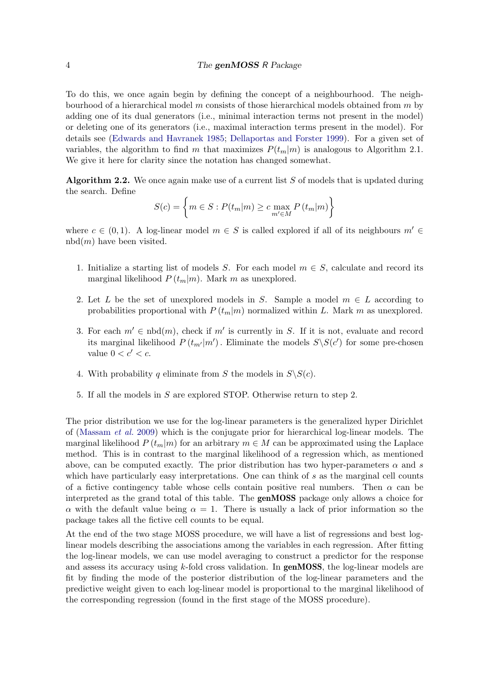#### 4 The genMOSS R Package

To do this, we once again begin by defining the concept of a neighbourhood. The neighbourhood of a hierarchical model  $m$  consists of those hierarchical models obtained from  $m$  by adding one of its dual generators (i.e., minimal interaction terms not present in the model) or deleting one of its generators (i.e., maximal interaction terms present in the model). For details see [\(Edwards and Havranek](#page-8-12) [1985;](#page-8-12) [Dellaportas and Forster](#page-7-2) [1999\)](#page-7-2). For a given set of variables, the algorithm to find m that maximizes  $P(t_m|m)$  is analogous to Algorithm 2.1. We give it here for clarity since the notation has changed somewhat.

Algorithm 2.2. We once again make use of a current list  $S$  of models that is updated during the search. Define

$$
S(c) = \left\{ m \in S : P(t_m|m) \ge c \max_{m' \in M} P(t_m|m) \right\}
$$

where  $c \in (0,1)$ . A log-linear model  $m \in S$  is called explored if all of its neighbours  $m' \in$  $nbd(m)$  have been visited.

- 1. Initialize a starting list of models S. For each model  $m \in S$ , calculate and record its marginal likelihood  $P(t_m|m)$ . Mark m as unexplored.
- 2. Let L be the set of unexplored models in S. Sample a model  $m \in L$  according to probabilities proportional with  $P(t_m|m)$  normalized within L. Mark m as unexplored.
- 3. For each  $m' \in \text{nbd}(m)$ , check if m' is currently in S. If it is not, evaluate and record its marginal likelihood  $P(t_{m'}|m')$ . Eliminate the models  $S\setminus S(c')$  for some pre-chosen value  $0 < c' < c$ .
- 4. With probability q eliminate from S the models in  $S\setminus S(c)$ .
- 5. If all the models in S are explored STOP. Otherwise return to step 2.

The prior distribution we use for the log-linear parameters is the generalized hyper Dirichlet of [\(Massam](#page-8-2) et al. [2009\)](#page-8-2) which is the conjugate prior for hierarchical log-linear models. The marginal likelihood  $P(t_m|m)$  for an arbitrary  $m \in M$  can be approximated using the Laplace method. This is in contrast to the marginal likelihood of a regression which, as mentioned above, can be computed exactly. The prior distribution has two hyper-parameters  $\alpha$  and s which have particularly easy interpretations. One can think of s as the marginal cell counts of a fictive contingency table whose cells contain positive real numbers. Then  $\alpha$  can be interpreted as the grand total of this table. The genMOSS package only allows a choice for  $\alpha$  with the default value being  $\alpha = 1$ . There is usually a lack of prior information so the package takes all the fictive cell counts to be equal.

At the end of the two stage MOSS procedure, we will have a list of regressions and best loglinear models describing the associations among the variables in each regression. After fitting the log-linear models, we can use model averaging to construct a predictor for the response and assess its accuracy using k-fold cross validation. In **genMOSS**, the log-linear models are fit by finding the mode of the posterior distribution of the log-linear parameters and the predictive weight given to each log-linear model is proportional to the marginal likelihood of the corresponding regression (found in the first stage of the MOSS procedure).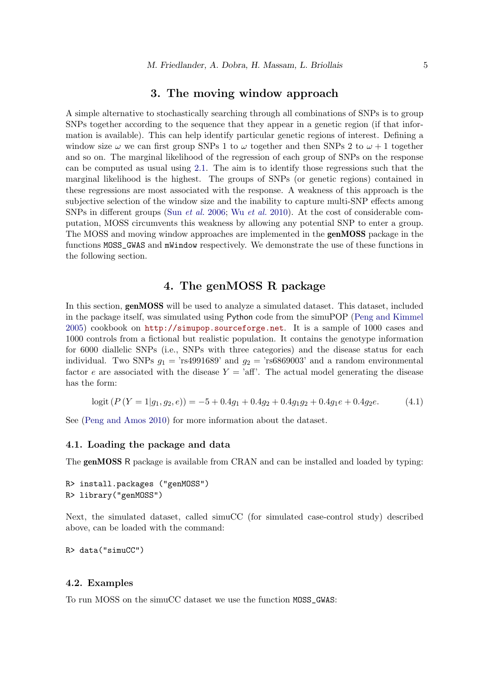#### 3. The moving window approach

A simple alternative to stochastically searching through all combinations of SNPs is to group SNPs together according to the sequence that they appear in a genetic region (if that information is available). This can help identify particular genetic regions of interest. Defining a window size  $\omega$  we can first group SNPs 1 to  $\omega$  together and then SNPs 2 to  $\omega + 1$  together and so on. The marginal likelihood of the regression of each group of SNPs on the response can be computed as usual using [2.1.](#page-1-0) The aim is to identify those regressions such that the marginal likelihood is the highest. The groups of SNPs (or genetic regions) contained in these regressions are most associated with the response. A weakness of this approach is the subjective selection of the window size and the inability to capture multi-SNP effects among SNPs in different groups (Sun [et al.](#page-8-10) [2006;](#page-8-10) Wu [et al.](#page-8-11) [2010\)](#page-8-11). At the cost of considerable computation, MOSS circumvents this weakness by allowing any potential SNP to enter a group. The MOSS and moving window approaches are implemented in the genMOSS package in the functions MOSS\_GWAS and mWindow respectively. We demonstrate the use of these functions in the following section.

### 4. The genMOSS R package

In this section, genMOSS will be used to analyze a simulated dataset. This dataset, included in the package itself, was simulated using Python code from the simuPOP [\(Peng and Kimmel](#page-8-13) [2005\)](#page-8-13) cookbook on <http://simupop.sourceforge.net>. It is a sample of 1000 cases and 1000 controls from a fictional but realistic population. It contains the genotype information for 6000 diallelic SNPs (i.e., SNPs with three categories) and the disease status for each individual. Two SNPs  $q_1 = \text{rs}4991689$  and  $q_2 = \text{rs}6869003$  and a random environmental factor e are associated with the disease  $Y = 'aff'.$  The actual model generating the disease has the form:

<span id="page-4-0"></span>
$$
logit (P(Y = 1|g_1, g_2, e)) = -5 + 0.4g_1 + 0.4g_2 + 0.4g_1g_2 + 0.4g_1e + 0.4g_2e.
$$
 (4.1)

See [\(Peng and Amos](#page-8-14) [2010\)](#page-8-14) for more information about the dataset.

#### 4.1. Loading the package and data

The **genMOSS** R package is available from CRAN and can be installed and loaded by typing:

R> install.packages ("genMOSS") R> library("genMOSS")

Next, the simulated dataset, called simuCC (for simulated case-control study) described above, can be loaded with the command:

R> data("simuCC")

#### 4.2. Examples

To run MOSS on the simuCC dataset we use the function MOSS\_GWAS: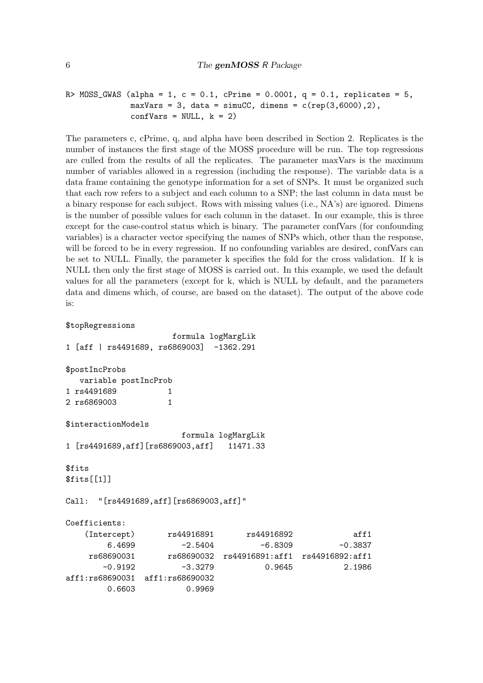```
R> MOSS_GWAS (alpha = 1, c = 0.1, cPrime = 0.0001, q = 0.1, replicates = 5,
              maxVars = 3, data = simuCC, dimens = c(rep(3,6000),2),
              confVars = NULL, k = 2)
```
The parameters c, cPrime, q, and alpha have been described in Section 2. Replicates is the number of instances the first stage of the MOSS procedure will be run. The top regressions are culled from the results of all the replicates. The parameter maxVars is the maximum number of variables allowed in a regression (including the response). The variable data is a data frame containing the genotype information for a set of SNPs. It must be organized such that each row refers to a subject and each column to a SNP; the last column in data must be a binary response for each subject. Rows with missing values (i.e., NA's) are ignored. Dimens is the number of possible values for each column in the dataset. In our example, this is three except for the case-control status which is binary. The parameter confVars (for confounding variables) is a character vector specifying the names of SNPs which, other than the response, will be forced to be in every regression. If no confounding variables are desired, confVars can be set to NULL. Finally, the parameter k specifies the fold for the cross validation. If k is NULL then only the first stage of MOSS is carried out. In this example, we used the default values for all the parameters (except for k, which is NULL by default, and the parameters data and dimens which, of course, are based on the dataset). The output of the above code is:

```
$topRegressions
```
formula logMargLik 1 [aff | rs4491689, rs6869003] -1362.291 \$postIncProbs variable postIncProb 1 rs4491689 1 2 rs6869003 1 \$interactionModels formula logMargLik 1 [rs4491689,aff][rs6869003,aff] 11471.33 \$fits \$fits[[1]] Call: "[rs4491689,aff][rs6869003,aff]" Coefficients: (Intercept) rs44916891 rs44916892 aff1  $6.4699$   $-2.5404$   $-6.8309$   $-0.3837$ rs68690031 rs68690032 rs44916891:aff1 rs44916892:aff1 -0.9192 -3.3279 0.9645 2.1986 aff1:rs68690031 aff1:rs68690032 0.6603 0.9969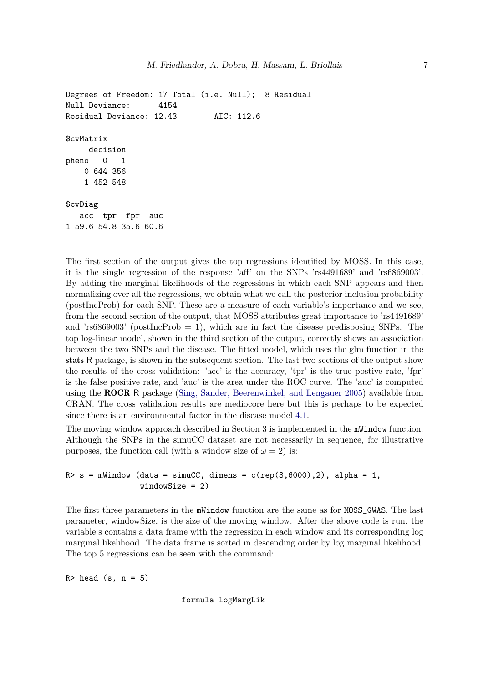```
Degrees of Freedom: 17 Total (i.e. Null); 8 Residual
Null Deviance: 4154
Residual Deviance: 12.43 AIC: 112.6
$cvMatrix
    decision
pheno 0 1
   0 644 356
   1 452 548
$cvDiag
  acc tpr fpr auc
1 59.6 54.8 35.6 60.6
```
The first section of the output gives the top regressions identified by MOSS. In this case, it is the single regression of the response 'aff' on the SNPs 'rs4491689' and 'rs6869003'. By adding the marginal likelihoods of the regressions in which each SNP appears and then normalizing over all the regressions, we obtain what we call the posterior inclusion probability (postIncProb) for each SNP. These are a measure of each variable's importance and we see, from the second section of the output, that MOSS attributes great importance to 'rs4491689' and 'rs6869003' (postIncProb  $= 1$ ), which are in fact the disease predisposing SNPs. The top log-linear model, shown in the third section of the output, correctly shows an association between the two SNPs and the disease. The fitted model, which uses the glm function in the stats R package, is shown in the subsequent section. The last two sections of the output show the results of the cross validation: 'acc' is the accuracy, 'tpr' is the true postive rate, 'fpr' is the false positive rate, and 'auc' is the area under the ROC curve. The 'auc' is computed using the ROCR R package [\(Sing, Sander, Beerenwinkel, and Lengauer](#page-8-15) [2005\)](#page-8-15) available from CRAN. The cross validation results are mediocore here but this is perhaps to be expected since there is an environmental factor in the disease model [4.1.](#page-4-0)

The moving window approach described in Section 3 is implemented in the mWindow function. Although the SNPs in the simuCC dataset are not necessarily in sequence, for illustrative purposes, the function call (with a window size of  $\omega = 2$ ) is:

```
R> s = mWindow (data = simuCC, dimens = c(rep(3,6000),2), alpha = 1,
                windowSize = 2)
```
The first three parameters in the mWindow function are the same as for MOSS\_GWAS. The last parameter, windowSize, is the size of the moving window. After the above code is run, the variable s contains a data frame with the regression in each window and its corresponding log marginal likelihood. The data frame is sorted in descending order by log marginal likelihood. The top 5 regressions can be seen with the command:

 $R >$  head  $(s, n = 5)$ 

formula logMargLik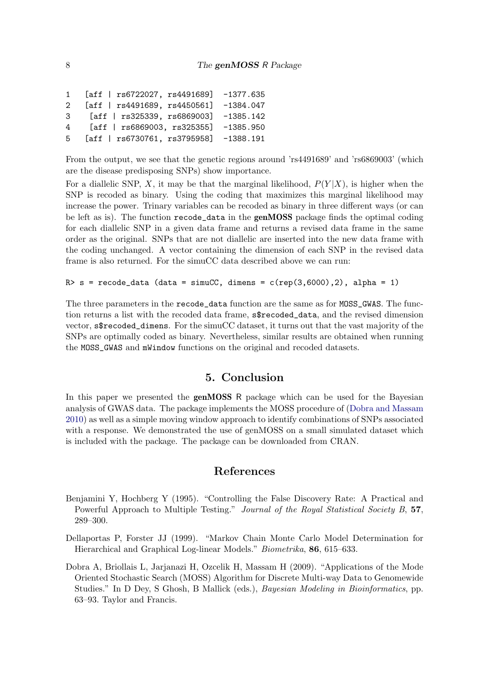```
1 [aff | rs6722027, rs4491689] -1377.635
2 [aff | rs4491689, rs4450561] -1384.047
3 [aff | rs325339, rs6869003] -1385.142
4 [aff | rs6869003, rs325355] -1385.950
5 [aff | rs6730761, rs3795958] -1388.191
```
From the output, we see that the genetic regions around 'rs4491689' and 'rs6869003' (which are the disease predisposing SNPs) show importance.

For a diallelic SNP, X, it may be that the marginal likelihood,  $P(Y|X)$ , is higher when the SNP is recoded as binary. Using the coding that maximizes this marginal likelihood may increase the power. Trinary variables can be recoded as binary in three different ways (or can be left as is). The function recode\_data in the genMOSS package finds the optimal coding for each diallelic SNP in a given data frame and returns a revised data frame in the same order as the original. SNPs that are not diallelic are inserted into the new data frame with the coding unchanged. A vector containing the dimension of each SNP in the revised data frame is also returned. For the simuCC data described above we can run:

R> s = recode\_data (data = simuCC, dimens =  $c$ (rep(3,6000),2), alpha = 1)

The three parameters in the recode\_data function are the same as for MOSS\_GWAS. The function returns a list with the recoded data frame, s\$recoded\_data, and the revised dimension vector, s\$recoded\_dimens. For the simuCC dataset, it turns out that the vast majority of the SNPs are optimally coded as binary. Nevertheless, similar results are obtained when running the MOSS\_GWAS and mWindow functions on the original and recoded datasets.

# 5. Conclusion

In this paper we presented the **genMOSS** R package which can be used for the Bayesian analysis of GWAS data. The package implements the MOSS procedure of [\(Dobra and Massam](#page-8-1) [2010\)](#page-8-1) as well as a simple moving window approach to identify combinations of SNPs associated with a response. We demonstrated the use of genMOSS on a small simulated dataset which is included with the package. The package can be downloaded from CRAN.

#### References

- <span id="page-7-0"></span>Benjamini Y, Hochberg Y (1995). "Controlling the False Discovery Rate: A Practical and Powerful Approach to Multiple Testing." Journal of the Royal Statistical Society B, 57, 289–300.
- <span id="page-7-2"></span>Dellaportas P, Forster JJ (1999). "Markov Chain Monte Carlo Model Determination for Hierarchical and Graphical Log-linear Models." Biometrika, 86, 615–633.
- <span id="page-7-1"></span>Dobra A, Briollais L, Jarjanazi H, Ozcelik H, Massam H (2009). "Applications of the Mode Oriented Stochastic Search (MOSS) Algorithm for Discrete Multi-way Data to Genomewide Studies." In D Dey, S Ghosh, B Mallick (eds.), Bayesian Modeling in Bioinformatics, pp. 63–93. Taylor and Francis.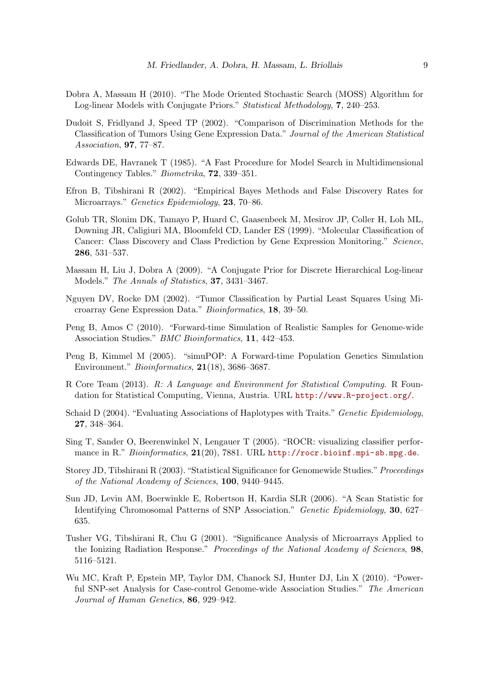- <span id="page-8-1"></span>Dobra A, Massam H (2010). "The Mode Oriented Stochastic Search (MOSS) Algorithm for Log-linear Models with Conjugate Priors." Statistical Methodology, 7, 240–253.
- <span id="page-8-5"></span>Dudoit S, Fridlyand J, Speed TP (2002). "Comparison of Discrimination Methods for the Classification of Tumors Using Gene Expression Data." Journal of the American Statistical Association, 97, 77–87.
- <span id="page-8-12"></span>Edwards DE, Havranek T (1985). "A Fast Procedure for Model Search in Multidimensional Contingency Tables." Biometrika, 72, 339–351.
- <span id="page-8-7"></span>Efron B, Tibshirani R (2002). "Empirical Bayes Methods and False Discovery Rates for Microarrays." Genetics Epidemiology, 23, 70–86.
- <span id="page-8-3"></span>Golub TR, Slonim DK, Tamayo P, Huard C, Gaasenbeek M, Mesirov JP, Coller H, Loh ML, Downing JR, Caligiuri MA, Bloomfeld CD, Lander ES (1999). "Molecular Classification of Cancer: Class Discovery and Class Prediction by Gene Expression Monitoring." Science, 286, 531–537.
- <span id="page-8-2"></span>Massam H, Liu J, Dobra A (2009). "A Conjugate Prior for Discrete Hierarchical Log-linear Models." The Annals of Statistics, 37, 3431–3467.
- <span id="page-8-4"></span>Nguyen DV, Rocke DM (2002). "Tumor Classification by Partial Least Squares Using Microarray Gene Expression Data." Bioinformatics, 18, 39–50.
- <span id="page-8-14"></span>Peng B, Amos C (2010). "Forward-time Simulation of Realistic Samples for Genome-wide Association Studies." BMC Bioinformatics, 11, 442–453.
- <span id="page-8-13"></span>Peng B, Kimmel M (2005). "simuPOP: A Forward-time Population Genetics Simulation Environment." Bioinformatics, 21(18), 3686–3687.
- <span id="page-8-0"></span>R Core Team (2013). R: A Language and Environment for Statistical Computing. R Foundation for Statistical Computing, Vienna, Austria. URL <http://www.R-project.org/>.
- <span id="page-8-9"></span>Schaid D (2004). "Evaluating Associations of Haplotypes with Traits." *Genetic Epidemiology*, 27, 348–364.
- <span id="page-8-15"></span>Sing T, Sander O, Beerenwinkel N, Lengauer T (2005). "ROCR: visualizing classifier performance in R." Bioinformatics,  $21(20)$ , 7881. URL <http://rocr.bioinf.mpi-sb.mpg.de>.
- <span id="page-8-8"></span>Storey JD, Tibshirani R (2003). "Statistical Significance for Genomewide Studies." Proceedings of the National Academy of Sciences, 100, 9440–9445.
- <span id="page-8-10"></span>Sun JD, Levin AM, Boerwinkle E, Robertson H, Kardia SLR (2006). "A Scan Statistic for Identifying Chromosomal Patterns of SNP Association." Genetic Epidemiology, 30, 627– 635.
- <span id="page-8-6"></span>Tusher VG, Tibshirani R, Chu G (2001). "Significance Analysis of Microarrays Applied to the Ionizing Radiation Response." Proceedings of the National Academy of Sciences, 98, 5116–5121.
- <span id="page-8-11"></span>Wu MC, Kraft P, Epstein MP, Taylor DM, Chanock SJ, Hunter DJ, Lin X (2010). "Powerful SNP-set Analysis for Case-control Genome-wide Association Studies." The American Journal of Human Genetics, 86, 929–942.